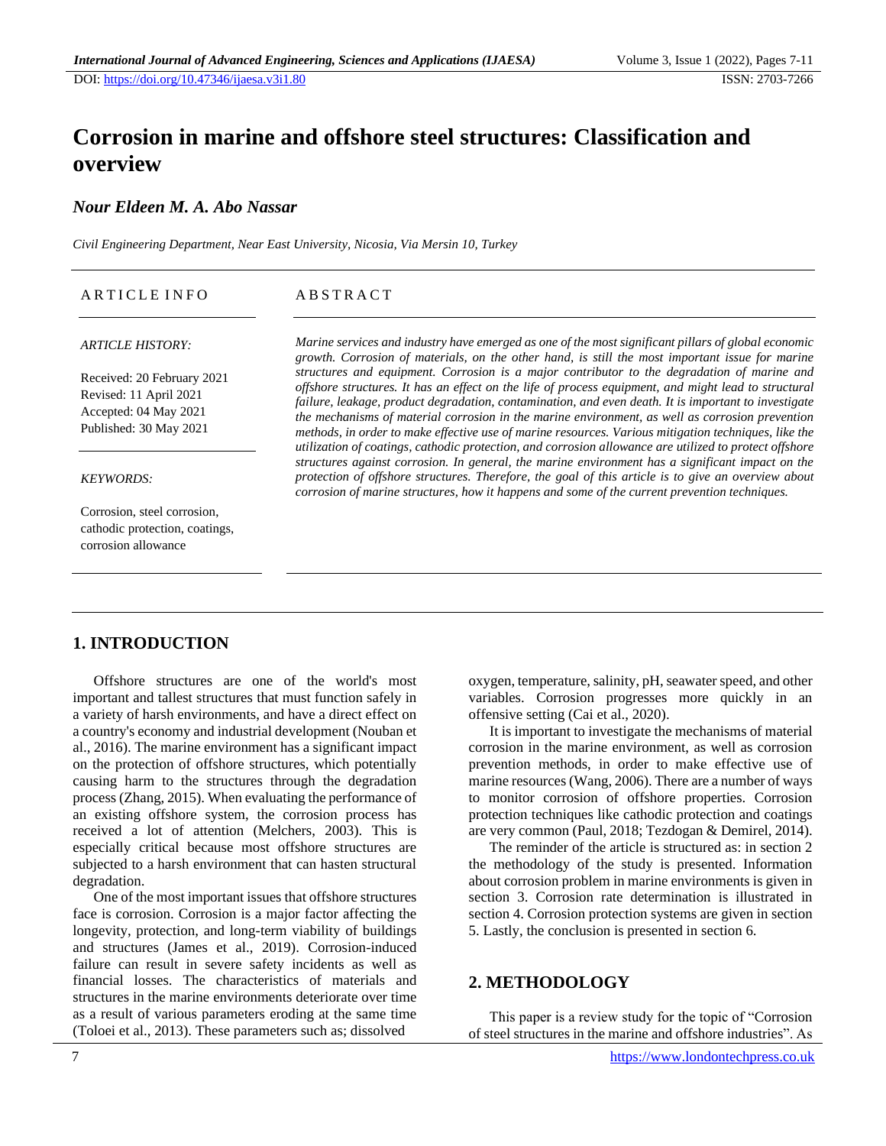# **Corrosion in marine and offshore steel structures: Classification and overview**

# *Nour Eldeen M. A. Abo Nassar*

*Civil Engineering Department, Near East University, Nicosia, Via Mersin 10, Turkey*

| ARTICLE INFO | ABSTRACT |
|--------------|----------|
|              |          |

### *ARTICLE HISTORY:*

Received: 20 February 2021 Revised: 11 April 2021 Accepted: 04 May 2021 Published: 30 May 2021

### *KEYWORDS:*

Corrosion, steel corrosion, cathodic protection, coatings, corrosion allowance

*Marine services and industry have emerged as one of the most significant pillars of global economic growth. Corrosion of materials, on the other hand, is still the most important issue for marine structures and equipment. Corrosion is a major contributor to the degradation of marine and offshore structures. It has an effect on the life of process equipment, and might lead to structural failure, leakage, product degradation, contamination, and even death. It is important to investigate the mechanisms of material corrosion in the marine environment, as well as corrosion prevention methods, in order to make effective use of marine resources. Various mitigation techniques, like the utilization of coatings, cathodic protection, and corrosion allowance are utilized to protect offshore structures against corrosion. In general, the marine environment has a significant impact on the protection of offshore structures. Therefore, the goal of this article is to give an overview about corrosion of marine structures, how it happens and some of the current prevention techniques.*

# **1. INTRODUCTION**

Offshore structures are one of the world's most important and tallest structures that must function safely in a variety of harsh environments, and have a direct effect on a country's economy and industrial development (Nouban et al., 2016). The marine environment has a significant impact on the protection of offshore structures, which potentially causing harm to the structures through the degradation process (Zhang, 2015). When evaluating the performance of an existing offshore system, the corrosion process has received a lot of attention (Melchers, 2003). This is especially critical because most offshore structures are subjected to a harsh environment that can hasten structural degradation.

One of the most important issues that offshore structures face is corrosion. Corrosion is a major factor affecting the longevity, protection, and long-term viability of buildings and structures (James et al., 2019). Corrosion-induced failure can result in severe safety incidents as well as financial losses. The characteristics of materials and structures in the marine environments deteriorate over time as a result of various parameters eroding at the same time (Toloei et al., 2013). These parameters such as; dissolved

oxygen, temperature, salinity, pH, seawater speed, and other variables. Corrosion progresses more quickly in an offensive setting (Cai et al., 2020).

It is important to investigate the mechanisms of material corrosion in the marine environment, as well as corrosion prevention methods, in order to make effective use of marine resources (Wang, 2006). There are a number of ways to monitor corrosion of offshore properties. Corrosion protection techniques like cathodic protection and coatings are very common (Paul, 2018; Tezdogan & Demirel, 2014).

The reminder of the article is structured as: in section 2 the methodology of the study is presented. Information about corrosion problem in marine environments is given in section 3. Corrosion rate determination is illustrated in section 4. Corrosion protection systems are given in section 5. Lastly, the conclusion is presented in section 6.

# **2. METHODOLOGY**

This paper is a review study for the topic of "Corrosion of steel structures in the marine and offshore industries". As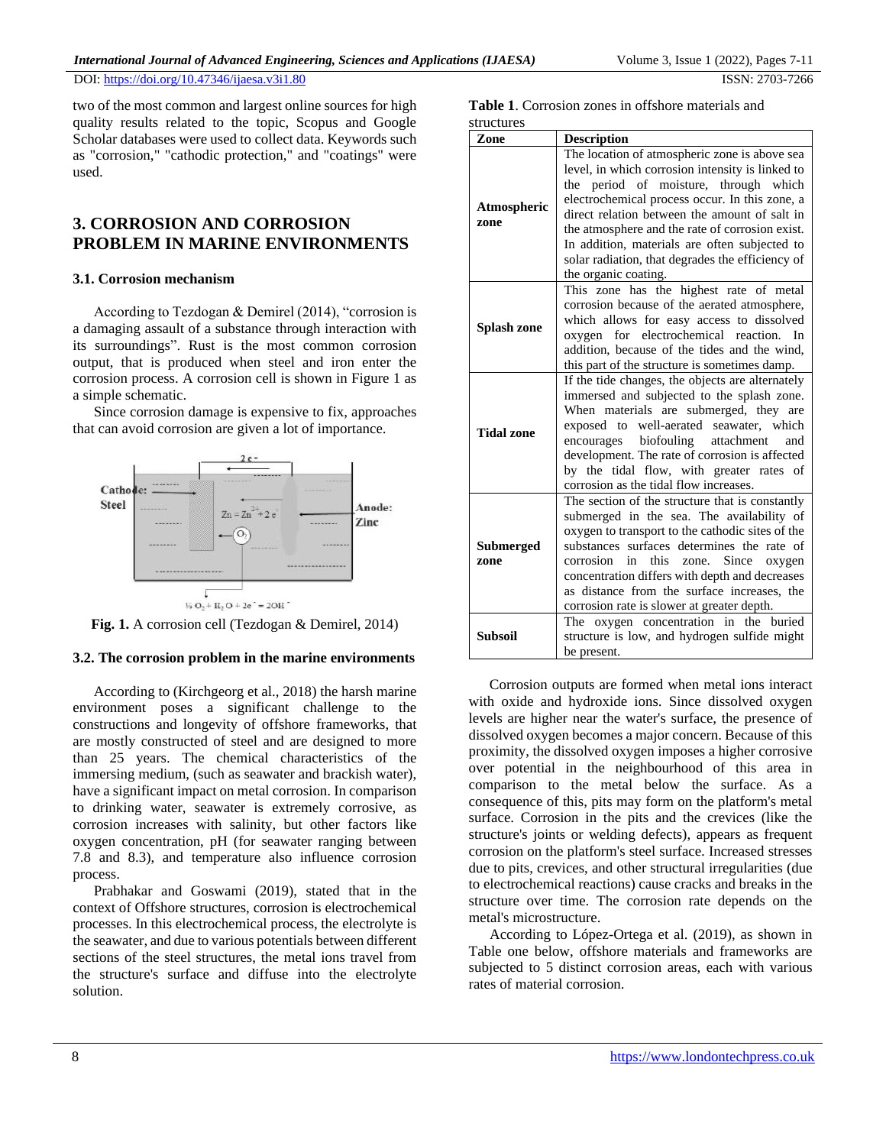DOI: [https://doi.org/1](https://doi.org/10.47346/ijaesa.v3i1.80)0.47346/ijaesa.v3i1.80 ISSN: 2703-7266

two of the most common and largest online sources for high quality results related to the topic, Scopus and Google Scholar databases were used to collect data. Keywords such as "corrosion," "cathodic protection," and "coatings" were used.

# **3. CORROSION AND CORROSION PROBLEM IN MARINE ENVIRONMENTS**

### **3.1. Corrosion mechanism**

According to Tezdogan & Demirel (2014), "corrosion is a damaging assault of a substance through interaction with its surroundings". Rust is the most common corrosion output, that is produced when steel and iron enter the corrosion process. A corrosion cell is shown in Figure 1 as a simple schematic.

Since corrosion damage is expensive to fix, approaches that can avoid corrosion are given a lot of importance.



**Fig. 1.** A corrosion cell (Tezdogan & Demirel, 2014)

### **3.2. The corrosion problem in the marine environments**

According to (Kirchgeorg et al., 2018) the harsh marine environment poses a significant challenge to the constructions and longevity of offshore frameworks, that are mostly constructed of steel and are designed to more than 25 years. The chemical characteristics of the immersing medium, (such as seawater and brackish water), have a significant impact on metal corrosion. In comparison to drinking water, seawater is extremely corrosive, as corrosion increases with salinity, but other factors like oxygen concentration, pH (for seawater ranging between 7.8 and 8.3), and temperature also influence corrosion process.

Prabhakar and Goswami (2019), stated that in the context of Offshore structures, corrosion is electrochemical processes. In this electrochemical process, the electrolyte is the seawater, and due to various potentials between different sections of the steel structures, the metal ions travel from the structure's surface and diffuse into the electrolyte solution.

**Table 1**. Corrosion zones in offshore materials and structures

| Zone                     | <b>Description</b>                                                                                                                                                                                                                                                                                                                                                                                                            |  |  |
|--------------------------|-------------------------------------------------------------------------------------------------------------------------------------------------------------------------------------------------------------------------------------------------------------------------------------------------------------------------------------------------------------------------------------------------------------------------------|--|--|
| Atmospheric<br>zone      | The location of atmospheric zone is above sea<br>level, in which corrosion intensity is linked to<br>the period of moisture, through which<br>electrochemical process occur. In this zone, a<br>direct relation between the amount of salt in<br>the atmosphere and the rate of corrosion exist.<br>In addition, materials are often subjected to<br>solar radiation, that degrades the efficiency of<br>the organic coating. |  |  |
| Splash zone              | This zone has the highest rate of metal<br>corrosion because of the aerated atmosphere,<br>which allows for easy access to dissolved<br>oxygen for electrochemical reaction.<br>In.<br>addition, because of the tides and the wind,<br>this part of the structure is sometimes damp.                                                                                                                                          |  |  |
| <b>Tidal zone</b>        | If the tide changes, the objects are alternately<br>immersed and subjected to the splash zone.<br>When materials are submerged, they are<br>exposed to well-aerated seawater, which<br>biofouling attachment<br>encourages<br>and<br>development. The rate of corrosion is affected<br>by the tidal flow, with greater rates of<br>corrosion as the tidal flow increases.                                                     |  |  |
| <b>Submerged</b><br>zone | The section of the structure that is constantly<br>submerged in the sea. The availability of<br>oxygen to transport to the cathodic sites of the<br>substances surfaces determines the rate of<br>this<br>Since<br>corrosion<br>in<br>zone.<br>oxygen<br>concentration differs with depth and decreases<br>as distance from the surface increases, the<br>corrosion rate is slower at greater depth.                          |  |  |
| <b>Subsoil</b>           | oxygen concentration in the buried<br>The<br>structure is low, and hydrogen sulfide might<br>be present.                                                                                                                                                                                                                                                                                                                      |  |  |

Corrosion outputs are formed when metal ions interact with oxide and hydroxide ions. Since dissolved oxygen levels are higher near the water's surface, the presence of dissolved oxygen becomes a major concern. Because of this proximity, the dissolved oxygen imposes a higher corrosive over potential in the neighbourhood of this area in comparison to the metal below the surface. As a consequence of this, pits may form on the platform's metal surface. Corrosion in the pits and the crevices (like the structure's joints or welding defects), appears as frequent corrosion on the platform's steel surface. Increased stresses due to pits, crevices, and other structural irregularities (due to electrochemical reactions) cause cracks and breaks in the structure over time. The corrosion rate depends on the metal's microstructure.

According to López-Ortega et al. (2019), as shown in Table one below, offshore materials and frameworks are subjected to 5 distinct corrosion areas, each with various rates of material corrosion.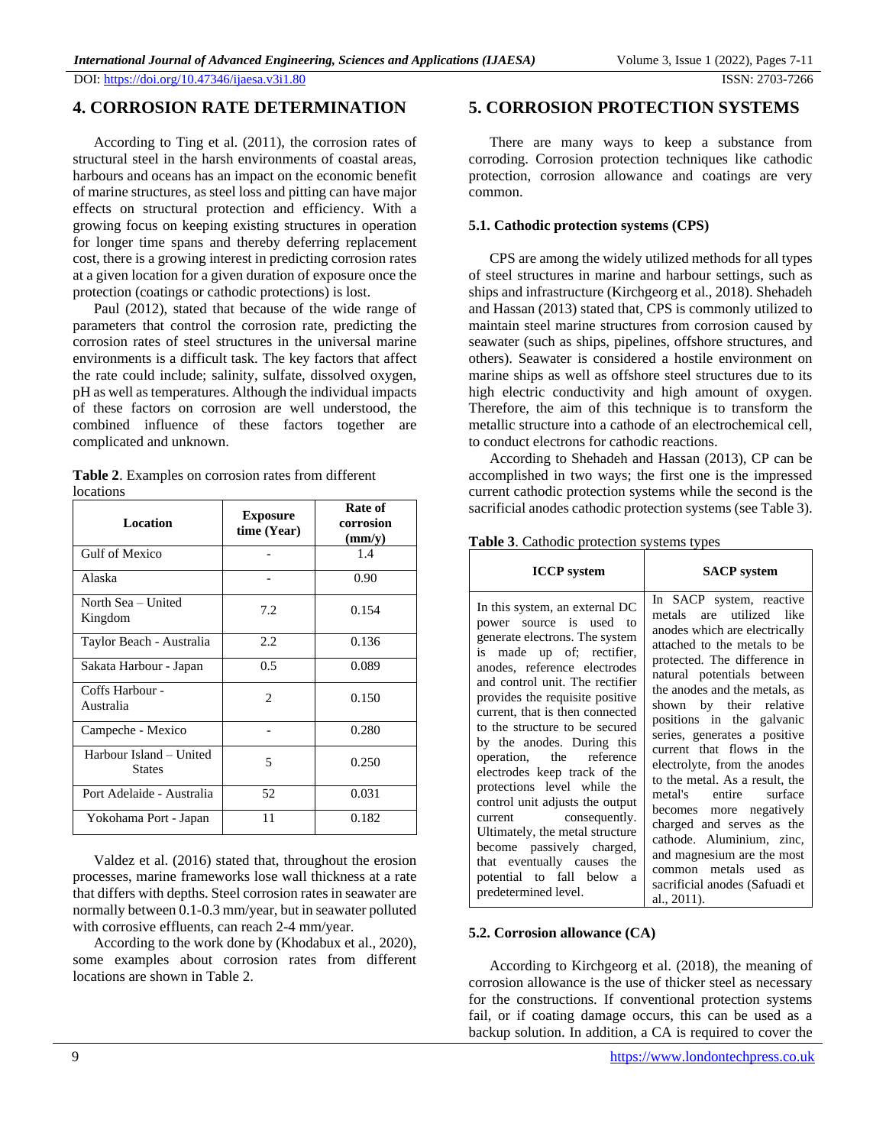# **4. CORROSION RATE DETERMINATION**

According to Ting et al. (2011), the corrosion rates of structural steel in the harsh environments of coastal areas, harbours and oceans has an impact on the economic benefit of marine structures, as steel loss and pitting can have major effects on structural protection and efficiency. With a growing focus on keeping existing structures in operation for longer time spans and thereby deferring replacement cost, there is a growing interest in predicting corrosion rates at a given location for a given duration of exposure once the protection (coatings or cathodic protections) is lost.

Paul (2012), stated that because of the wide range of parameters that control the corrosion rate, predicting the corrosion rates of steel structures in the universal marine environments is a difficult task. The key factors that affect the rate could include; salinity, sulfate, dissolved oxygen, pH as well as temperatures. Although the individual impacts of these factors on corrosion are well understood, the combined influence of these factors together are complicated and unknown.

| rocauons                                 |                                |                                           |  |  |
|------------------------------------------|--------------------------------|-------------------------------------------|--|--|
| <b>Location</b>                          | <b>Exposure</b><br>time (Year) | Rate of<br>corrosion<br>$\textbf{(mm/y)}$ |  |  |
| <b>Gulf of Mexico</b>                    |                                | 1.4                                       |  |  |
| Alaska                                   |                                | 0.90                                      |  |  |
| North Sea - United<br>Kingdom            | 7.2                            | 0.154                                     |  |  |
| Taylor Beach - Australia                 | 2.2                            | 0.136                                     |  |  |
| Sakata Harbour - Japan                   | 0.5                            | 0.089                                     |  |  |
| Coffs Harbour -<br>Australia             | 2                              | 0.150                                     |  |  |
| Campeche - Mexico                        |                                | 0.280                                     |  |  |
| Harbour Island – United<br><b>States</b> | 5                              | 0.250                                     |  |  |
| Port Adelaide - Australia                | 52                             | 0.031                                     |  |  |
| Yokohama Port - Japan                    | 11                             | 0.182                                     |  |  |

**Table 2**. Examples on corrosion rates from different locations

Valdez et al. (2016) stated that, throughout the erosion processes, marine frameworks lose wall thickness at a rate that differs with depths. Steel corrosion rates in seawater are normally between 0.1-0.3 mm/year, but in seawater polluted with corrosive effluents, can reach 2-4 mm/year.

According to the work done by (Khodabux et al., 2020), some examples about corrosion rates from different locations are shown in Table 2.

# **5. CORROSION PROTECTION SYSTEMS**

There are many ways to keep a substance from corroding. Corrosion protection techniques like cathodic protection, corrosion allowance and coatings are very common.

### **5.1. Cathodic protection systems (CPS)**

CPS are among the widely utilized methods for all types of steel structures in marine and harbour settings, such as ships and infrastructure (Kirchgeorg et al., 2018). Shehadeh and Hassan (2013) stated that, CPS is commonly utilized to maintain steel marine structures from corrosion caused by seawater (such as ships, pipelines, offshore structures, and others). Seawater is considered a hostile environment on marine ships as well as offshore steel structures due to its high electric conductivity and high amount of oxygen. Therefore, the aim of this technique is to transform the metallic structure into a cathode of an electrochemical cell, to conduct electrons for cathodic reactions.

According to Shehadeh and Hassan (2013), CP can be accomplished in two ways; the first one is the impressed current cathodic protection systems while the second is the sacrificial anodes cathodic protection systems (see Table 3).

|  | Table 3. Cathodic protection systems types |
|--|--------------------------------------------|
|  |                                            |

| <b>ICCP</b> system                                                                                                                                                                                                                                                                                                                                                                                                                                                                                                                                                                                                                | <b>SACP</b> system                                                                                                                                                                                                                                                                                                                                                                                                                                                                                                                                                                                                  |
|-----------------------------------------------------------------------------------------------------------------------------------------------------------------------------------------------------------------------------------------------------------------------------------------------------------------------------------------------------------------------------------------------------------------------------------------------------------------------------------------------------------------------------------------------------------------------------------------------------------------------------------|---------------------------------------------------------------------------------------------------------------------------------------------------------------------------------------------------------------------------------------------------------------------------------------------------------------------------------------------------------------------------------------------------------------------------------------------------------------------------------------------------------------------------------------------------------------------------------------------------------------------|
| In this system, an external DC<br>power source is used to<br>generate electrons. The system<br>is made up of; rectifier,<br>anodes, reference electrodes<br>and control unit. The rectifier<br>provides the requisite positive<br>current, that is then connected<br>to the structure to be secured<br>by the anodes. During this<br>operation, the reference<br>electrodes keep track of the<br>protections level while the<br>control unit adjusts the output<br>current consequently.<br>Ultimately, the metal structure<br>become passively charged,<br>that eventually causes the<br>potential to fall below<br><sub>a</sub> | In SACP system, reactive<br>metals are utilized like<br>anodes which are electrically<br>attached to the metals to be<br>protected. The difference in<br>natural potentials between<br>the anodes and the metals, as<br>shown by their relative<br>positions in the galvanic<br>series, generates a positive<br>current that flows in the<br>electrolyte, from the anodes<br>to the metal. As a result, the<br>metal's entire surface<br>becomes more negatively<br>charged and serves as the<br>cathode. Aluminium, zinc,<br>and magnesium are the most<br>common metals used as<br>sacrificial anodes (Safuadi et |
| predetermined level.                                                                                                                                                                                                                                                                                                                                                                                                                                                                                                                                                                                                              | al., 2011).                                                                                                                                                                                                                                                                                                                                                                                                                                                                                                                                                                                                         |

### **5.2. Corrosion allowance (CA)**

According to Kirchgeorg et al. (2018), the meaning of corrosion allowance is the use of thicker steel as necessary for the constructions. If conventional protection systems fail, or if coating damage occurs, this can be used as a backup solution. In addition, a CA is required to cover the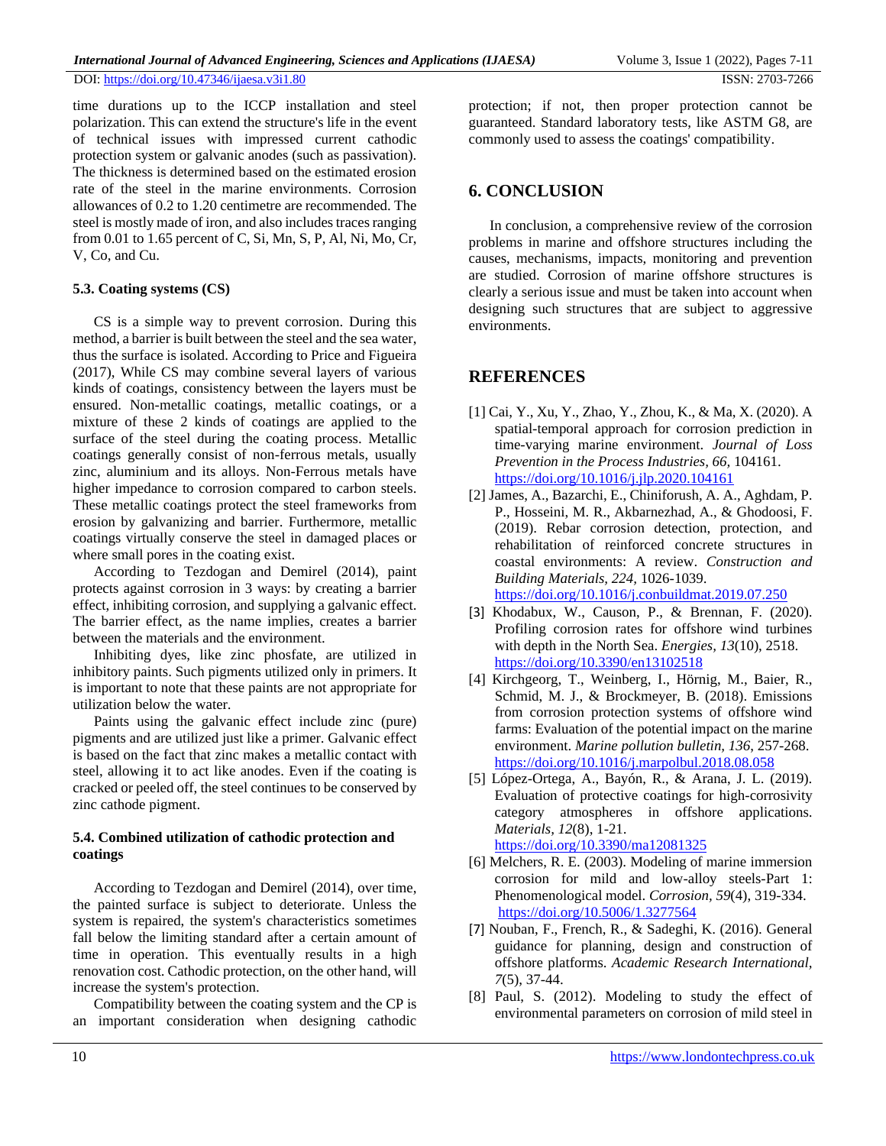DOI: [https://doi.org/1](https://doi.org/10.47346/ijaesa.v3i1.80)0.47346/ijaesa.v3i1.80 ISSN: 2703-7266

time durations up to the ICCP installation and steel polarization. This can extend the structure's life in the event of technical issues with impressed current cathodic protection system or galvanic anodes (such as passivation). The thickness is determined based on the estimated erosion rate of the steel in the marine environments. Corrosion allowances of 0.2 to 1.20 centimetre are recommended. The steel is mostly made of iron, and also includes traces ranging from 0.01 to 1.65 percent of C, Si, Mn, S, P, Al, Ni, Mo, Cr, V, Co, and Cu.

# **5.3. Coating systems (CS)**

CS is a simple way to prevent corrosion. During this method, a barrier is built between the steel and the sea water, thus the surface is isolated. According to Price and Figueira (2017), While CS may combine several layers of various kinds of coatings, consistency between the layers must be ensured. Non-metallic coatings, metallic coatings, or a mixture of these 2 kinds of coatings are applied to the surface of the steel during the coating process. Metallic coatings generally consist of non-ferrous metals, usually zinc, aluminium and its alloys. Non-Ferrous metals have higher impedance to corrosion compared to carbon steels. These metallic coatings protect the steel frameworks from erosion by galvanizing and barrier. Furthermore, metallic coatings virtually conserve the steel in damaged places or where small pores in the coating exist.

According to Tezdogan and Demirel (2014), paint protects against corrosion in 3 ways: by creating a barrier effect, inhibiting corrosion, and supplying a galvanic effect. The barrier effect, as the name implies, creates a barrier between the materials and the environment.

Inhibiting dyes, like zinc phosfate, are utilized in inhibitory paints. Such pigments utilized only in primers. It is important to note that these paints are not appropriate for utilization below the water.

Paints using the galvanic effect include zinc (pure) pigments and are utilized just like a primer. Galvanic effect is based on the fact that zinc makes a metallic contact with steel, allowing it to act like anodes. Even if the coating is cracked or peeled off, the steel continues to be conserved by zinc cathode pigment.

### **5.4. Combined utilization of cathodic protection and coatings**

According to Tezdogan and Demirel (2014), over time, the painted surface is subject to deteriorate. Unless the system is repaired, the system's characteristics sometimes fall below the limiting standard after a certain amount of time in operation. This eventually results in a high renovation cost. Cathodic protection, on the other hand, will increase the system's protection.

Compatibility between the coating system and the CP is an important consideration when designing cathodic protection; if not, then proper protection cannot be guaranteed. Standard laboratory tests, like ASTM G8, are commonly used to assess the coatings' compatibility.

# **6. CONCLUSION**

In conclusion, a comprehensive review of the corrosion problems in marine and offshore structures including the causes, mechanisms, impacts, monitoring and prevention are studied. Corrosion of marine offshore structures is clearly a serious issue and must be taken into account when designing such structures that are subject to aggressive environments.

# **REFERENCES**

- [1] Cai, Y., Xu, Y., Zhao, Y., Zhou, K., & Ma, X. (2020). A spatial-temporal approach for corrosion prediction in time-varying marine environment. *Journal of Loss Prevention in the Process Industries, 66,* 104161. <https://doi.org/10.1016/j.jlp.2020.104161>
- [2] James, A., Bazarchi, E., Chiniforush, A. A., Aghdam, P. P., Hosseini, M. R., Akbarnezhad, A., & Ghodoosi, F. (2019). Rebar corrosion detection, protection, and rehabilitation of reinforced concrete structures in coastal environments: A review. *Construction and Building Materials, 224,* 1026-1039. <https://doi.org/10.1016/j.conbuildmat.2019.07.250>
- [3] Khodabux, W., Causon, P., & Brennan, F. (2020). Profiling corrosion rates for offshore wind turbines with depth in the North Sea. *Energies, 13*(10), 2518. <https://doi.org/10.3390/en13102518>
- [4] Kirchgeorg, T., Weinberg, I., Hörnig, M., Baier, R., Schmid, M. J., & Brockmeyer, B. (2018). Emissions from corrosion protection systems of offshore wind farms: Evaluation of the potential impact on the marine environment. *Marine pollution bulletin, 136*, 257-268. <https://doi.org/10.1016/j.marpolbul.2018.08.058>
- [5] López-Ortega, A., Bayón, R., & Arana, J. L. (2019). Evaluation of protective coatings for high-corrosivity category atmospheres in offshore applications. *Materials, 12*(8), 1-21. <https://doi.org/10.3390/ma12081325>
- [6] Melchers, R. E. (2003). Modeling of marine immersion corrosion for mild and low-alloy steels-Part 1: Phenomenological model. *Corrosion, 59*(4), 319-334. <https://doi.org/10.5006/1.3277564>
- [7] Nouban, F., French, R., & Sadeghi, K. (2016). General guidance for planning, design and construction of offshore platforms. *Academic Research International, 7*(5), 37-44.
- [8] Paul, S. (2012). Modeling to study the effect of environmental parameters on corrosion of mild steel in